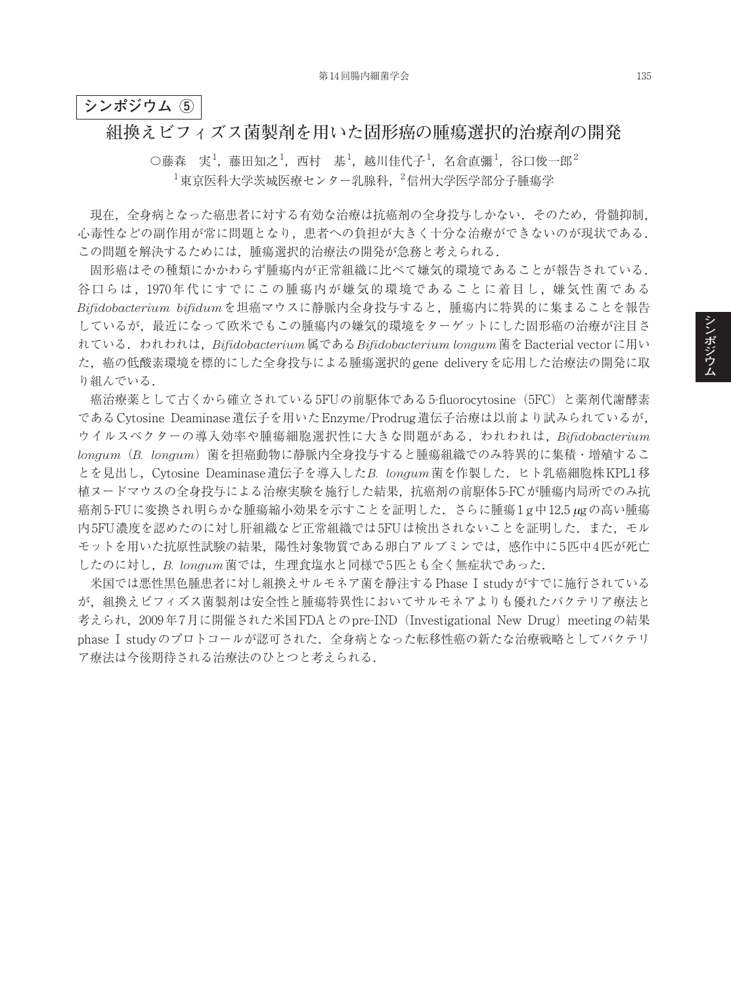## **シンポジウム ⑤**

## **組換えビフィズス菌製剤を用いた固形癌の腫瘍選択的治療剤の開発**

 $\bigcirc$ 藤森 実 $^1$ , 藤田知之 $^1$ , 西村 基 $^1$ , 越川佳代子 $^1$ , 名倉直彌 $^1$ , 谷口俊一郎 $^2$  $^1$ 東京医科大学茨城医療センター乳腺科, $^2$ 信州大学医学部分子腫瘍学

現在,全身病となった癌患者に対する有効な治療は抗癌剤の全身投与しかない.そのため,骨髄抑制, 心毒性などの副作用が常に問題となり,患者への負担が大きく十分な治療ができないのが現状である. この問題を解決するためには,腫瘍選択的治療法の開発が急務と考えられる.

固形癌はその種類にかかわらず腫瘍内が正常組織に比べて嫌気的環境であることが報告されている. 谷口らは,1970年代にすでにこの腫瘍内が嫌気的環境であることに着目し,嫌気性菌である *Bifidobacterium bifidum*を坦癌マウスに静脈内全身投与すると,腫瘍内に特異的に集まることを報告 しているが,最近になって欧米でもこの腫瘍内の嫌気的環境をターゲットにした固形癌の治療が注目さ れている.われわれは,*Bifidobacterium*属である*Bifidobacterium longum*菌をBacterial vectorに用い た,癌の低酸素環境を標的にした全身投与による腫瘍選択的gene deliveryを応用した治療法の開発に取 り組んでいる.

癌治療薬として古くから確立されている5FUの前駆体である5-fluorocytosine(5FC)と薬剤代謝酵素 であるCytosine Deaminase遺伝子を用いたEnzyme/Prodrug遺伝子治療は以前より試みられているが, ウイルスベクターの導入効率や腫瘍細胞選択性に大きな問題がある.われわれは,*Bifidobacterium longum*(*B. longum*)菌を担癌動物に静脈内全身投与すると腫瘍組織でのみ特異的に集積・増殖するこ とを見出し,Cytosine Deaminase遺伝子を導入した*B. longum*菌を作製した.ヒト乳癌細胞株KPL1移 植ヌードマウスの全身投与による治療実験を施行した結果,抗癌剤の前駆体5-FCが腫瘍内局所でのみ抗 癌剤5-FUに変換され明らかな腫瘍縮小効果を示すことを証明した.さらに腫瘍1 g中12.5 <sup>µ</sup>gの高い腫瘍 内5FU濃度を認めたのに対し肝組織など正常組織では5FUは検出されないことを証明した. また、モル モットを用いた抗原性試験の結果,陽性対象物質である卵白アルブミンでは,感作中に5匹中4匹が死亡 したのに対し,*B. longum*菌では,生理食塩水と同様で5匹とも全く無症状であった.

米国では悪性黒色腫患者に対し組換えサルモネア菌を静注するPhase I studyがすでに施行されている が,組換えビフィズス菌製剤は安全性と腫瘍特異性においてサルモネアよりも優れたバクテリア療法と 考えられ, 2009年7月に開催された米国FDAとのpre-IND (Investigational New Drug) meetingの結果 phase I studyのプロトコールが認可された. 全身病となった転移性癌の新たな治療戦略としてバクテリ ア療法は今後期待される治療法のひとつと考えられる.